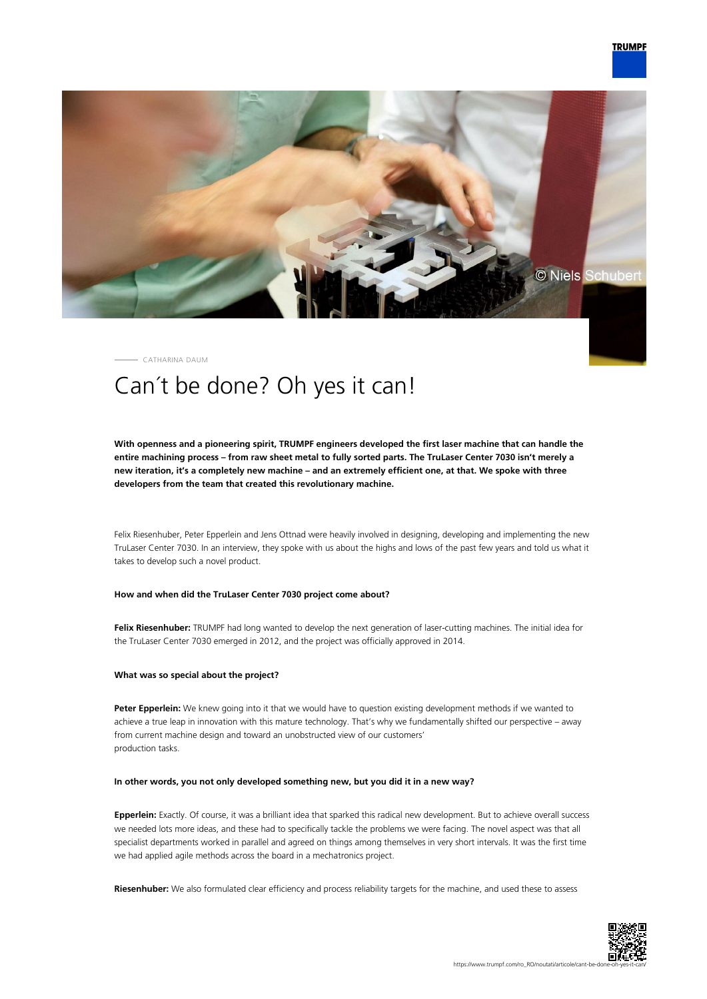

CATHARINA DAUM

# Can´t be done? Oh yes it can!

**With openness and a pioneering spirit, TRUMPF engineers developed the first laser machine that can handle the entire machining process – from raw sheet metal to fully sorted parts. The TruLaser Center 7030 isn't merely a new iteration, it's a completely new machine – and an extremely efficient one, at that. We spoke with three developers from the team that created this revolutionary machine.**

Felix Riesenhuber, Peter Epperlein and Jens Ottnad were heavily involved in designing, developing and implementing the new TruLaser Center 7030. In an interview, they spoke with us about the highs and lows of the past few years and told us what it takes to develop such a novel product.

## **How and when did the TruLaser Center 7030 project come about?**

**Felix Riesenhuber:** TRUMPF had long wanted to develop the next generation of laser-cutting machines. The initial idea for the TruLaser Center 7030 emerged in 2012, and the project was officially approved in 2014.

#### **What was so special about the project?**

**Peter Epperlein:** We knew going into it that we would have to question existing development methods if we wanted to achieve a true leap in innovation with this mature technology. That's why we fundamentally shifted our perspective – away from current machine design and toward an unobstructed view of our customers' production tasks.

#### **In other words, you not only developed something new, but you did it in a new way?**

**Epperlein:** Exactly. Of course, it was a brilliant idea that sparked this radical new development. But to achieve overall success we needed lots more ideas, and these had to specifically tackle the problems we were facing. The novel aspect was that all specialist departments worked in parallel and agreed on things among themselves in very short intervals. It was the first time we had applied agile methods across the board in a mechatronics project.

**Riesenhuber:** We also formulated clear efficiency and process reliability targets for the machine, and used these to assess

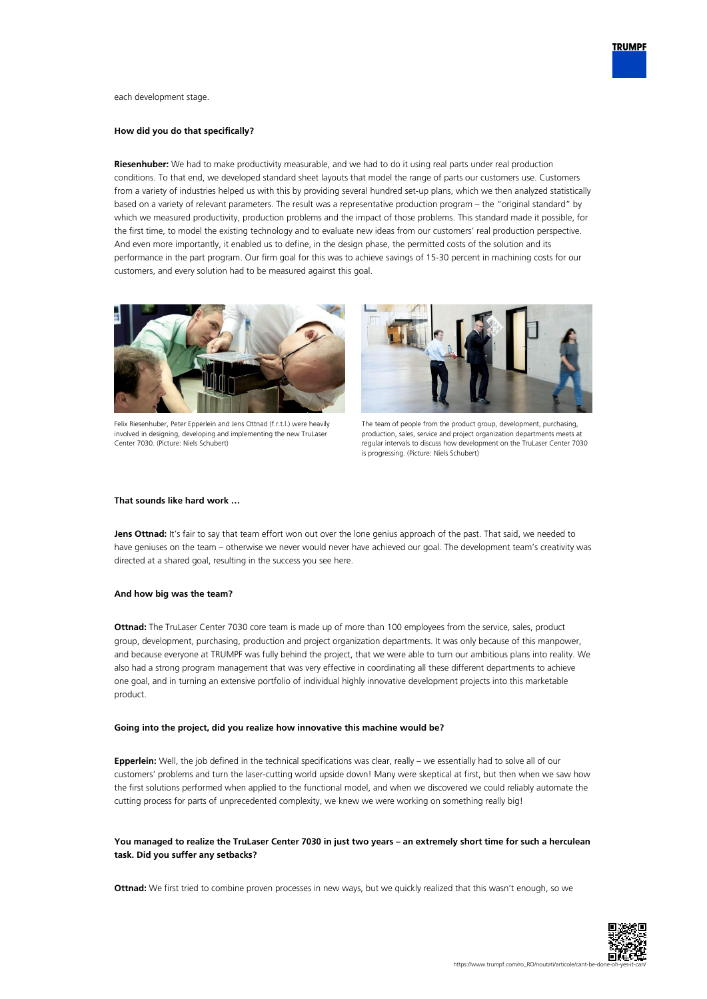

each development stage.

#### **How did you do that specifically?**

**Riesenhuber:** We had to make productivity measurable, and we had to do it using real parts under real production conditions. To that end, we developed standard sheet layouts that model the range of parts our customers use. Customers from a variety of industries helped us with this by providing several hundred set-up plans, which we then analyzed statistically based on a variety of relevant parameters. The result was a representative production program – the "original standard" by which we measured productivity, production problems and the impact of those problems. This standard made it possible, for the first time, to model the existing technology and to evaluate new ideas from our customers' real production perspective. And even more importantly, it enabled us to define, in the design phase, the permitted costs of the solution and its performance in the part program. Our firm goal for this was to achieve savings of 15-30 percent in machining costs for our customers, and every solution had to be measured against this goal.



Felix Riesenhuber, Peter Epperlein and Jens Ottnad (f.r.t.l.) were heavily involved in designing, developing and implementing the new TruLaser Center 7030. (Picture: Niels Schubert)



The team of people from the product group, development, purchasing, production, sales, service and project organization departments meets at regular intervals to discuss how development on the TruLaser Center 7030 is progressing. (Picture: Niels Schubert)

## **That sounds like hard work …**

Jens Ottnad: It's fair to say that team effort won out over the lone genius approach of the past. That said, we needed to have geniuses on the team – otherwise we never would never have achieved our goal. The development team's creativity was directed at a shared goal, resulting in the success you see here.

#### **And how big was the team?**

**Ottnad:** The TruLaser Center 7030 core team is made up of more than 100 employees from the service, sales, product group, development, purchasing, production and project organization departments. It was only because of this manpower, and because everyone at TRUMPF was fully behind the project, that we were able to turn our ambitious plans into reality. We also had a strong program management that was very effective in coordinating all these different departments to achieve one goal, and in turning an extensive portfolio of individual highly innovative development projects into this marketable product.

#### **Going into the project, did you realize how innovative this machine would be?**

**Epperlein:** Well, the job defined in the technical specifications was clear, really – we essentially had to solve all of our customers' problems and turn the laser-cutting world upside down! Many were skeptical at first, but then when we saw how the first solutions performed when applied to the functional model, and when we discovered we could reliably automate the cutting process for parts of unprecedented complexity, we knew we were working on something really big!

# **You managed to realize the TruLaser Center 7030 in just two years – an extremely short time for such a herculean task. Did you suffer any setbacks?**

**Ottnad:** We first tried to combine proven processes in new ways, but we quickly realized that this wasn't enough, so we